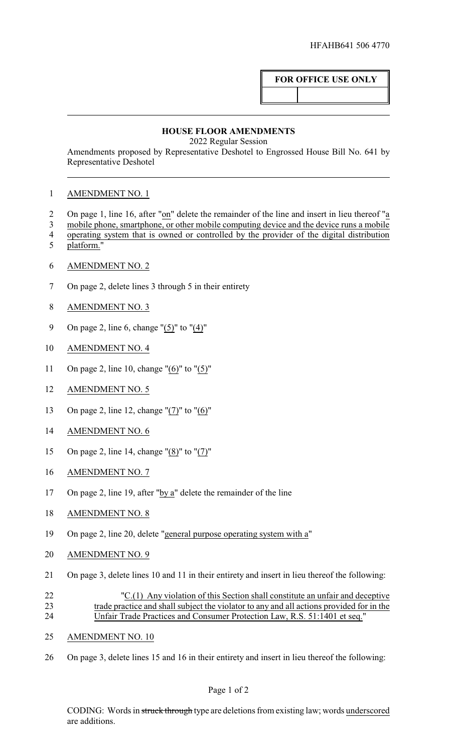## **FOR OFFICE USE ONLY**

## **HOUSE FLOOR AMENDMENTS**

2022 Regular Session

Amendments proposed by Representative Deshotel to Engrossed House Bill No. 641 by Representative Deshotel

## AMENDMENT NO. 1

- On page 1, line 16, after "on" delete the remainder of the line and insert in lieu thereof "a
- mobile phone, smartphone, or other mobile computing device and the device runs a mobile operating system that is owned or controlled by the provider of the digital distribution
- platform."
- AMENDMENT NO. 2
- On page 2, delete lines 3 through 5 in their entirety
- AMENDMENT NO. 3
- 9 On page 2, line 6, change " $(5)$ " to " $(4)$ "
- AMENDMENT NO. 4
- On page 2, line 10, change "(6)" to "(5)"
- AMENDMENT NO. 5
- On page 2, line 12, change "(7)" to "(6)"
- AMENDMENT NO. 6
- On page 2, line 14, change "(8)" to "(7)"
- AMENDMENT NO. 7
- 17 On page 2, line 19, after " $by a$ " delete the remainder of the line</u>
- AMENDMENT NO. 8
- On page 2, line 20, delete "general purpose operating system with a"
- AMENDMENT NO. 9
- On page 3, delete lines 10 and 11 in their entirety and insert in lieu thereof the following:
- "C.(1) Any violation of this Section shall constitute an unfair and deceptive trade practice and shall subject the violator to any and all actions provided for in the Unfair Trade Practices and Consumer Protection Law, R.S. 51:1401 et seq."
- AMENDMENT NO. 10
- On page 3, delete lines 15 and 16 in their entirety and insert in lieu thereof the following:

CODING: Words in struck through type are deletions from existing law; words underscored are additions.